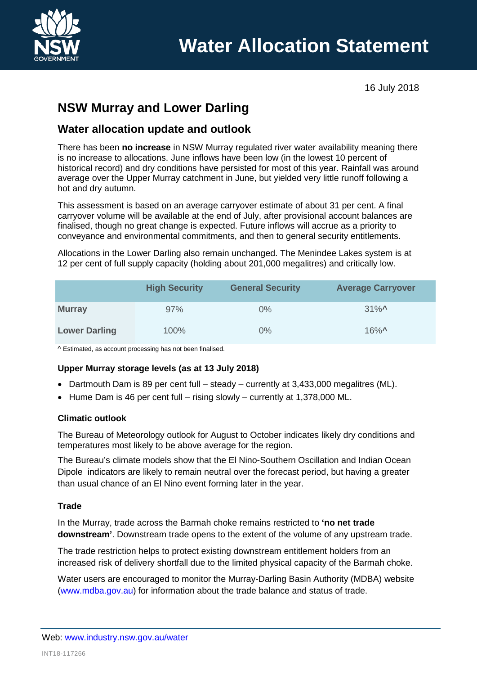

16 July 2018

# **NSW Murray and Lower Darling**

# **Water allocation update and outlook**

There has been **no increase** in NSW Murray regulated river water availability meaning there is no increase to allocations. June inflows have been low (in the lowest 10 percent of historical record) and dry conditions have persisted for most of this year. Rainfall was around average over the Upper Murray catchment in June, but yielded very little runoff following a hot and dry autumn.

This assessment is based on an average carryover estimate of about 31 per cent. A final carryover volume will be available at the end of July, after provisional account balances are finalised, though no great change is expected. Future inflows will accrue as a priority to conveyance and environmental commitments, and then to general security entitlements.

Allocations in the Lower Darling also remain unchanged. The Menindee Lakes system is at 12 per cent of full supply capacity (holding about 201,000 megalitres) and critically low.

|                      | <b>High Security</b> | <b>General Security</b> | <b>Average Carryover</b> |
|----------------------|----------------------|-------------------------|--------------------------|
| <b>Murray</b>        | 97%                  | $0\%$                   | $31\%$ <sup>^</sup>      |
| <b>Lower Darling</b> | 100%                 | 0%                      | $16\%$ <sup>^</sup>      |

^ Estimated, as account processing has not been finalised.

# **Upper Murray storage levels (as at 13 July 2018)**

- Dartmouth Dam is 89 per cent full steady currently at 3,433,000 megalitres (ML).
- Hume Dam is 46 per cent full rising slowly currently at 1,378,000 ML.

## **Climatic outlook**

The Bureau of Meteorology outlook for August to October indicates likely dry conditions and temperatures most likely to be above average for the region.

The Bureau's climate models show that the El Nino-Southern Oscillation and Indian Ocean Dipole indicators are likely to remain neutral over the forecast period, but having a greater than usual chance of an El Nino event forming later in the year.

## **Trade**

In the Murray, trade across the Barmah choke remains restricted to **'no net trade downstream'**. Downstream trade opens to the extent of the volume of any upstream trade.

The trade restriction helps to protect existing downstream entitlement holders from an increased risk of delivery shortfall due to the limited physical capacity of the Barmah choke.

Water users are encouraged to monitor the Murray-Darling Basin Authority (MDBA) website [\(www.mdba.gov.au\)](http://www.mdba.gov.au/) for information about the trade balance and status of trade.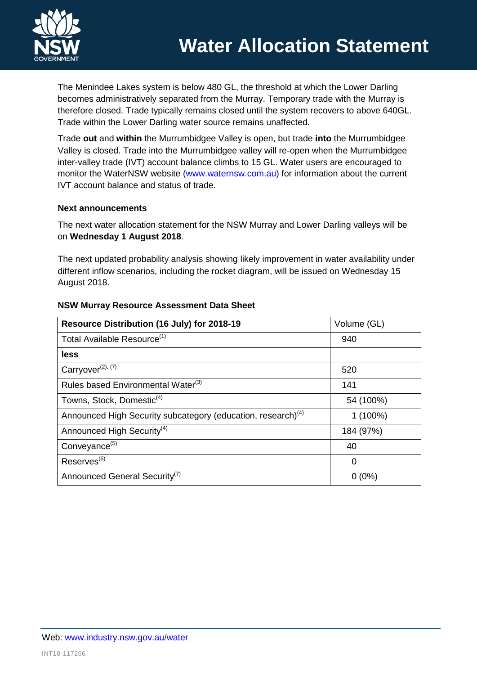The Menindee Lakes system is below 480 GL, the threshold at which the Lower Darling becomes administratively separated from the Murray. Temporary trade with the Murray is therefore closed. Trade typically remains closed until the system recovers to above 640GL. Trade within the Lower Darling water source remains unaffected.

Trade **out** and **within** the Murrumbidgee Valley is open, but trade **into** the Murrumbidgee Valley is closed. Trade into the Murrumbidgee valley will re-open when the Murrumbidgee inter-valley trade (IVT) account balance climbs to 15 GL. Water users are encouraged to monitor the WaterNSW website [\(www.waternsw.com.au\)](http://www.waternsw.com.au/) for information about the current IVT account balance and status of trade.

### **Next announcements**

The next water allocation statement for the NSW Murray and Lower Darling valleys will be on **Wednesday 1 August 2018**.

The next updated probability analysis showing likely improvement in water availability under different inflow scenarios, including the rocket diagram, will be issued on Wednesday 15 August 2018.

| Resource Distribution (16 July) for 2018-19                              | Volume (GL) |
|--------------------------------------------------------------------------|-------------|
| Total Available Resource <sup>(1)</sup>                                  | 940         |
| less                                                                     |             |
| Carryover <sup>(2), (7)</sup>                                            | 520         |
| Rules based Environmental Water <sup>(3)</sup>                           | 141         |
| Towns, Stock, Domestic <sup>(4)</sup>                                    | 54 (100%)   |
| Announced High Security subcategory (education, research) <sup>(4)</sup> | $1(100\%)$  |
| Announced High Security <sup>(4)</sup>                                   | 184 (97%)   |
| Conveyance <sup>(5)</sup>                                                | 40          |
| Reserves <sup>(6)</sup>                                                  | 0           |
| Announced General Security <sup>(7)</sup>                                | $0(0\%)$    |

## **NSW Murray Resource Assessment Data Sheet**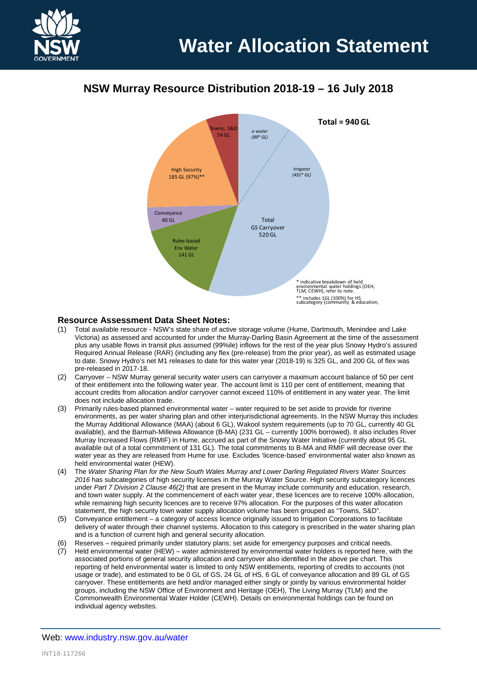

# **NSW Murray Resource Distribution 2018-19 – 16 July 2018**



#### **Resource Assessment Data Sheet Notes:**

- (1) Total available resource NSW's state share of active storage volume (Hume, Dartmouth, Menindee and Lake Victoria) as assessed and accounted for under the Murray-Darling Basin Agreement at the time of the assessment plus any usable flows in transit plus assumed (99%ile) inflows for the rest of the year plus Snowy Hydro's assured Required Annual Release (RAR) (including any flex (pre-release) from the prior year), as well as estimated usage to date. Snowy Hydro's net M1 releases to date for this water year (2018-19) is 325 GL, and 200 GL of flex was pre-released in 2017-18.
- (2) Carryover NSW Murray general security water users can carryover a maximum account balance of 50 per cent of their entitlement into the following water year. The account limit is 110 per cent of entitlement, meaning that account credits from allocation and/or carryover cannot exceed 110% of entitlement in any water year. The limit does not include allocation trade.
- (3) Primarily rules-based planned environmental water water required to be set aside to provide for riverine environments, as per water sharing plan and other interjurisdictional agreements. In the NSW Murray this includes the Murray Additional Allowance (MAA) (about 6 GL), Wakool system requirements (up to 70 GL, currently 40 GL available), and the Barmah-Millewa Allowance (B-MA) (231 GL – currently 100% borrowed). It also includes River Murray Increased Flows (RMIF) in Hume, accrued as part of the Snowy Water Initiative (currently about 95 GL available out of a total commitment of 131 GL). The total commitments to B-MA and RMIF will decrease over the water year as they are released from Hume for use. Excludes 'licence-based' environmental water also known as held environmental water (HEW).
- (4) The *Water Sharing Plan for the New South Wales Murray and Lower Darling Regulated Rivers Water Sources*  2016 has subcategories of high security licenses in the Murray Water Source. High security subcategory licences under *Part 7 Division 2 Clause 46(2)* that are present in the Murray include community and education, research, and town water supply. At the commencement of each water year, these licences are to receive 100% allocation, while remaining high security licences are to receive 97% allocation. For the purposes of this water allocation statement, the high security town water supply allocation volume has been grouped as "Towns, S&D".
- (5) Conveyance entitlement a category of access licence originally issued to Irrigation Corporations to facilitate delivery of water through their channel systems. Allocation to this category is prescribed in the water sharing plan and is a function of current high and general security allocation.
- (6) Reserves required primarily under statutory plans; set aside for emergency purposes and critical needs.
- (7) Held environmental water (HEW) water administered by environmental water holders is reported here, with the associated portions of general security allocation and carryover also identified in the above pie chart. This reporting of held environmental water is limited to only NSW entitlements, reporting of credits to accounts (not usage or trade), and estimated to be 0 GL of GS, 24 GL of HS, 6 GL of conveyance allocation and 89 GL of GS carryover. These entitlements are held and/or managed either singly or jointly by various environmental holder groups, including the NSW Office of Environment and Heritage (OEH), The Living Murray (TLM) and the Commonwealth Environmental Water Holder (CEWH). Details on environmental holdings can be found on individual agency websites.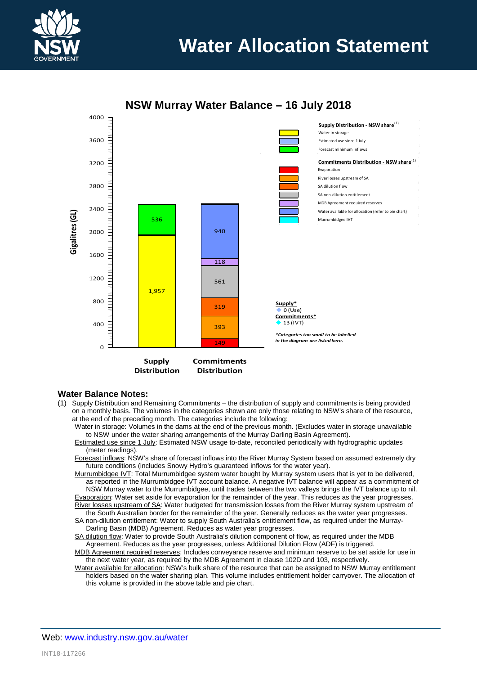

# **Water Allocation Statement**



# **NSW Murray Water Balance – 16 July 2018**

#### **Water Balance Notes:**

- (1) Supply Distribution and Remaining Commitments the distribution of supply and commitments is being provided on a monthly basis. The volumes in the categories shown are only those relating to NSW's share of the resource, at the end of the preceding month. The categories include the following:
	- Water in storage: Volumes in the dams at the end of the previous month. (Excludes water in storage unavailable to NSW under the water sharing arrangements of the Murray Darling Basin Agreement).
	- Estimated use since 1 July: Estimated NSW usage to-date, reconciled periodically with hydrographic updates (meter readings).
	- Forecast inflows: NSW's share of forecast inflows into the River Murray System based on assumed extremely dry future conditions (includes Snowy Hydro's guaranteed inflows for the water year).
	- Murrumbidgee IVT: Total Murrumbidgee system water bought by Murray system users that is yet to be delivered, as reported in the Murrumbidgee IVT account balance. A negative IVT balance will appear as a commitment of NSW Murray water to the Murrumbidgee, until trades between the two valleys brings the IVT balance up to nil. Evaporation: Water set aside for evaporation for the remainder of the year. This reduces as the year progresses.
	- River losses upstream of SA: Water budgeted for transmission losses from the River Murray system upstream of the South Australian border for the remainder of the year. Generally reduces as the water year progresses.
	- SA non-dilution entitlement: Water to supply South Australia's entitlement flow, as required under the Murray-Darling Basin (MDB) Agreement. Reduces as water year progresses.
	- SA dilution flow: Water to provide South Australia's dilution component of flow, as required under the MDB Agreement. Reduces as the year progresses, unless Additional Dilution Flow (ADF) is triggered.
	- MDB Agreement required reserves: Includes conveyance reserve and minimum reserve to be set aside for use in the next water year, as required by the MDB Agreement in clause 102D and 103, respectively.
	- Water available for allocation: NSW's bulk share of the resource that can be assigned to NSW Murray entitlement holders based on the water sharing plan. This volume includes entitlement holder carryover. The allocation of this volume is provided in the above table and pie chart.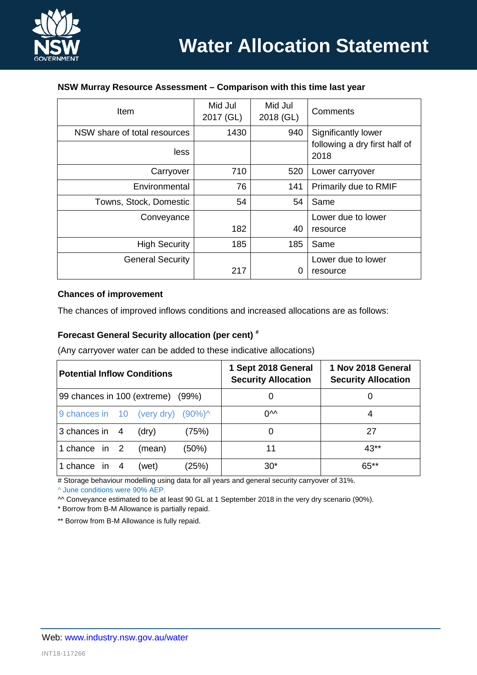

#### **NSW Murray Resource Assessment – Comparison with this time last year**

| Item                         | Mid Jul<br>2017 (GL) | Mid Jul<br>2018 (GL) | Comments                              |  |
|------------------------------|----------------------|----------------------|---------------------------------------|--|
| NSW share of total resources | 1430                 | 940                  | Significantly lower                   |  |
| less                         |                      |                      | following a dry first half of<br>2018 |  |
| Carryover                    | 710                  | 520                  | Lower carryover                       |  |
| Environmental                | 76                   | 141                  | Primarily due to RMIF                 |  |
| Towns, Stock, Domestic       | 54                   | 54                   | Same                                  |  |
| Conveyance                   |                      |                      | Lower due to lower                    |  |
|                              | 182                  | 40                   | resource                              |  |
| <b>High Security</b>         | 185                  | 185                  | Same                                  |  |
| <b>General Security</b>      |                      |                      | Lower due to lower                    |  |
|                              | 217                  | 0                    | resource                              |  |

#### **Chances of improvement**

The chances of improved inflows conditions and increased allocations are as follows:

## **Forecast General Security allocation (per cent) #**

(Any carryover water can be added to these indicative allocations)

| <b>Potential Inflow Conditions</b>           | 1 Sept 2018 General<br><b>Security Allocation</b> | 1 Nov 2018 General<br><b>Security Allocation</b> |  |
|----------------------------------------------|---------------------------------------------------|--------------------------------------------------|--|
| 99 chances in 100 (extreme) (99%)            |                                                   |                                                  |  |
| 9 chances in 10 (very dry) $(90\%)^{\wedge}$ | ∩∿∧                                               | 4                                                |  |
| 3 chances in 4<br>(75%)<br>(dry)             |                                                   | 27                                               |  |
| (50%)<br>1 chance in 2<br>(mean)             | 11                                                | $43**$                                           |  |
| (25%)<br>1 chance in<br>(wet)<br>4           | $30*$                                             | 65**                                             |  |

# Storage behaviour modelling using data for all years and general security carryover of 31%.

^ June conditions were 90% AEP.

^^ Conveyance estimated to be at least 90 GL at 1 September 2018 in the very dry scenario (90%).

\* Borrow from B-M Allowance is partially repaid.

\*\* Borrow from B-M Allowance is fully repaid.